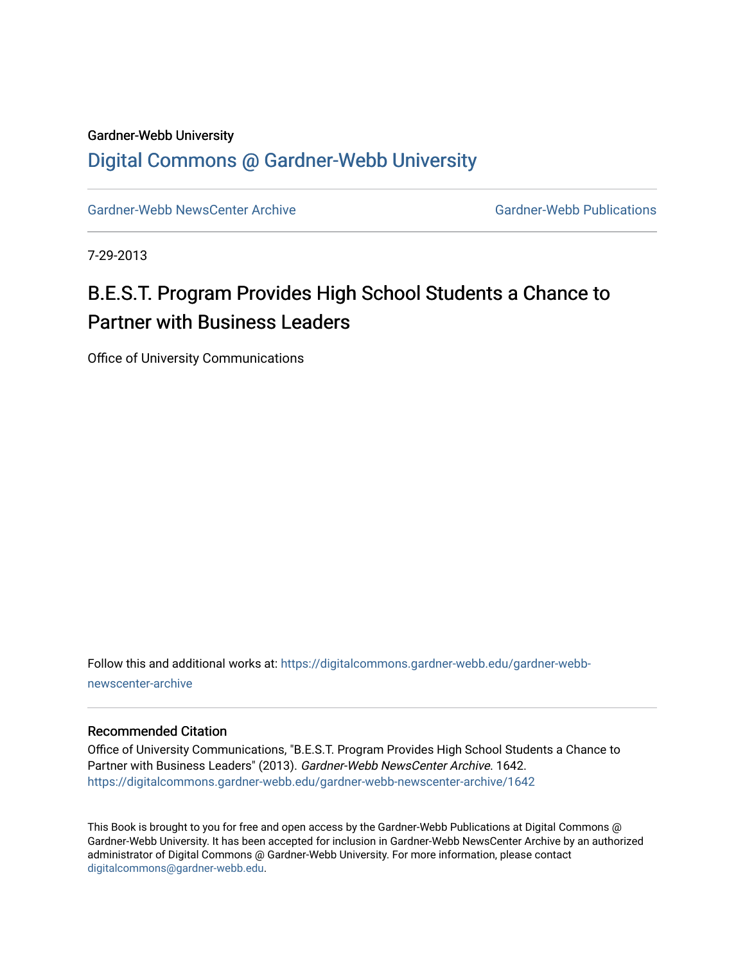### Gardner-Webb University

### [Digital Commons @ Gardner-Webb University](https://digitalcommons.gardner-webb.edu/)

[Gardner-Webb NewsCenter Archive](https://digitalcommons.gardner-webb.edu/gardner-webb-newscenter-archive) Gardner-Webb Publications

7-29-2013

# B.E.S.T. Program Provides High School Students a Chance to Partner with Business Leaders

Office of University Communications

Follow this and additional works at: [https://digitalcommons.gardner-webb.edu/gardner-webb](https://digitalcommons.gardner-webb.edu/gardner-webb-newscenter-archive?utm_source=digitalcommons.gardner-webb.edu%2Fgardner-webb-newscenter-archive%2F1642&utm_medium=PDF&utm_campaign=PDFCoverPages)[newscenter-archive](https://digitalcommons.gardner-webb.edu/gardner-webb-newscenter-archive?utm_source=digitalcommons.gardner-webb.edu%2Fgardner-webb-newscenter-archive%2F1642&utm_medium=PDF&utm_campaign=PDFCoverPages)

### Recommended Citation

Office of University Communications, "B.E.S.T. Program Provides High School Students a Chance to Partner with Business Leaders" (2013). Gardner-Webb NewsCenter Archive. 1642. [https://digitalcommons.gardner-webb.edu/gardner-webb-newscenter-archive/1642](https://digitalcommons.gardner-webb.edu/gardner-webb-newscenter-archive/1642?utm_source=digitalcommons.gardner-webb.edu%2Fgardner-webb-newscenter-archive%2F1642&utm_medium=PDF&utm_campaign=PDFCoverPages) 

This Book is brought to you for free and open access by the Gardner-Webb Publications at Digital Commons @ Gardner-Webb University. It has been accepted for inclusion in Gardner-Webb NewsCenter Archive by an authorized administrator of Digital Commons @ Gardner-Webb University. For more information, please contact [digitalcommons@gardner-webb.edu](mailto:digitalcommons@gardner-webb.edu).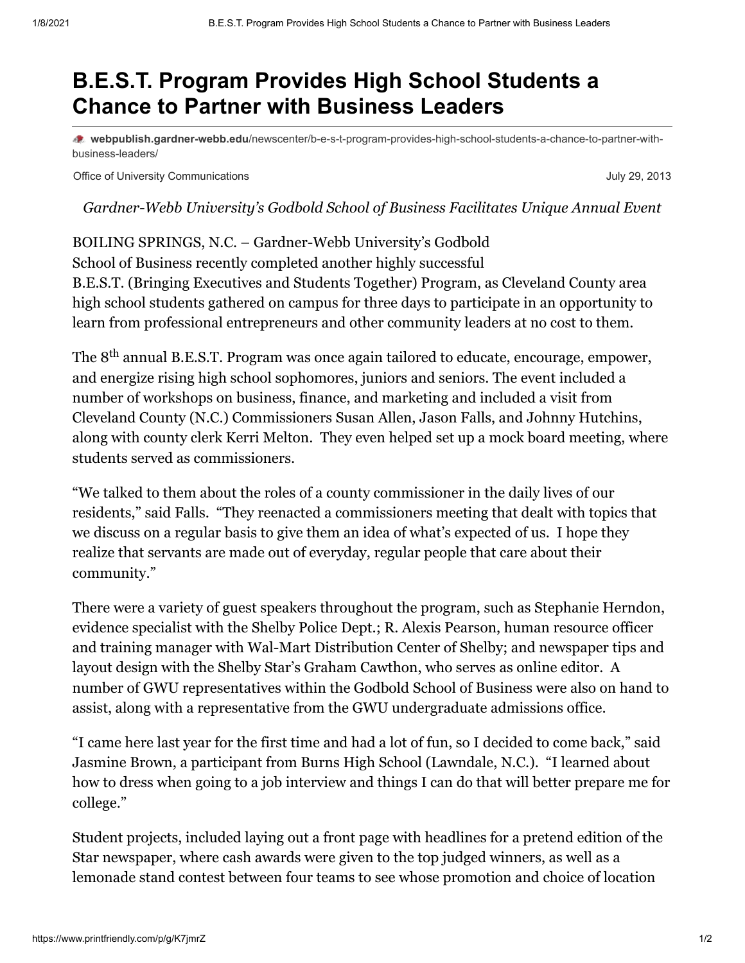## **B.E.S.T. Program Provides High School Students a Chance to Partner with Business Leaders**

**webpublish.gardner-webb.edu**[/newscenter/b-e-s-t-program-provides-high-school-students-a-chance-to-partner-with](https://webpublish.gardner-webb.edu/newscenter/b-e-s-t-program-provides-high-school-students-a-chance-to-partner-with-business-leaders/)business-leaders/

Office of University Communications July 29, 2013

*Gardner-Webb University's Godbold School of Business Facilitates Unique Annual Event*

BOILING SPRINGS, N.C. – Gardner-Webb University's Godbold School of Business recently completed another highly successful B.E.S.T. (Bringing Executives and Students Together) Program, as Cleveland County area high school students gathered on campus for three days to participate in an opportunity to learn from professional entrepreneurs and other community leaders at no cost to them.

The  $8^{\text{th}}$  annual B.E.S.T. Program was once again tailored to educate, encourage, empower, and energize rising high school sophomores, juniors and seniors. The event included a number of workshops on business, finance, and marketing and included a visit from Cleveland County (N.C.) Commissioners Susan Allen, Jason Falls, and Johnny Hutchins, along with county clerk Kerri Melton. They even helped set up a mock board meeting, where students served as commissioners.

"We talked to them about the roles of a county commissioner in the daily lives of our residents," said Falls. "They reenacted a commissioners meeting that dealt with topics that we discuss on a regular basis to give them an idea of what's expected of us. I hope they realize that servants are made out of everyday, regular people that care about their community."

There were a variety of guest speakers throughout the program, such as Stephanie Herndon, evidence specialist with the Shelby Police Dept.; R. Alexis Pearson, human resource officer and training manager with Wal-Mart Distribution Center of Shelby; and newspaper tips and layout design with the Shelby Star's Graham Cawthon, who serves as online editor. A number of GWU representatives within the Godbold School of Business were also on hand to assist, along with a representative from the GWU undergraduate admissions office.

"I came here last year for the first time and had a lot of fun, so I decided to come back," said Jasmine Brown, a participant from Burns High School (Lawndale, N.C.). "I learned about how to dress when going to a job interview and things I can do that will better prepare me for college."

Student projects, included laying out a front page with headlines for a pretend edition of the Star newspaper, where cash awards were given to the top judged winners, as well as a lemonade stand contest between four teams to see whose promotion and choice of location